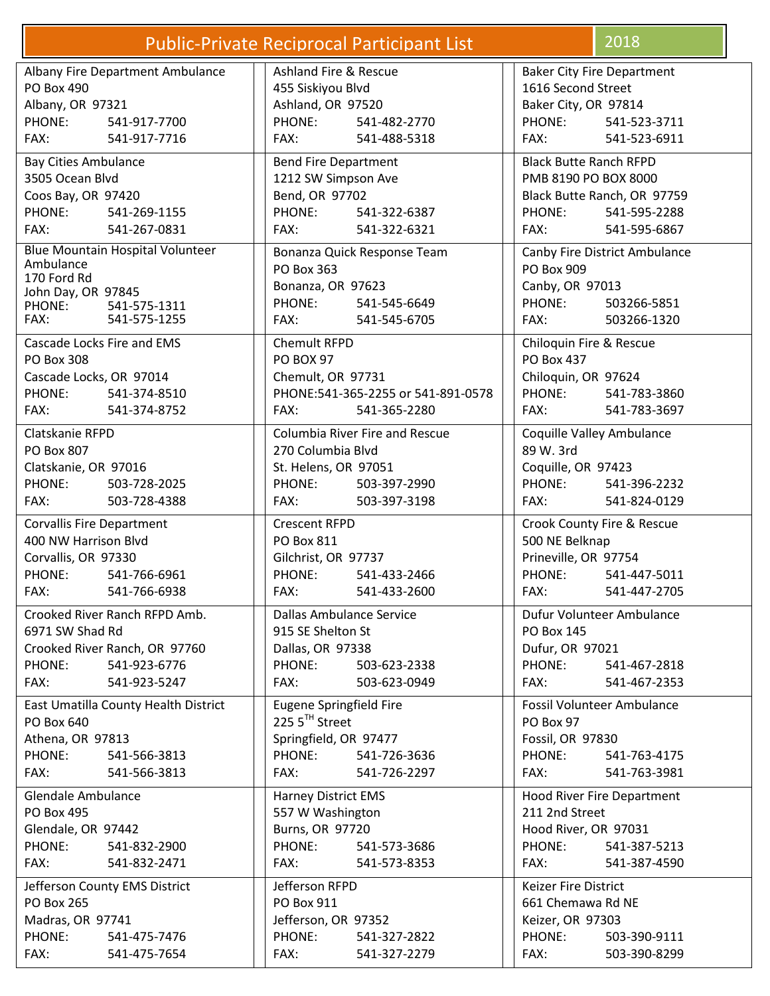| <b>Public-Private Reciprocal Participant List</b>                                                                            | 2018                                                                                                                   |                                                                                                                                        |  |
|------------------------------------------------------------------------------------------------------------------------------|------------------------------------------------------------------------------------------------------------------------|----------------------------------------------------------------------------------------------------------------------------------------|--|
| Albany Fire Department Ambulance                                                                                             | Ashland Fire & Rescue                                                                                                  | <b>Baker City Fire Department</b>                                                                                                      |  |
| PO Box 490                                                                                                                   | 455 Siskiyou Blvd                                                                                                      | 1616 Second Street                                                                                                                     |  |
| Albany, OR 97321                                                                                                             | Ashland, OR 97520                                                                                                      | Baker City, OR 97814                                                                                                                   |  |
| PHONE:                                                                                                                       | PHONE:                                                                                                                 | PHONE:                                                                                                                                 |  |
| 541-917-7700                                                                                                                 | 541-482-2770                                                                                                           | 541-523-3711                                                                                                                           |  |
| FAX:                                                                                                                         | FAX:                                                                                                                   | FAX:                                                                                                                                   |  |
| 541-917-7716                                                                                                                 | 541-488-5318                                                                                                           | 541-523-6911                                                                                                                           |  |
| <b>Bay Cities Ambulance</b><br>3505 Ocean Blvd<br>Coos Bay, OR 97420<br>PHONE: 541-269-1155<br>FAX:<br>541-267-0831          | <b>Bend Fire Department</b><br>1212 SW Simpson Ave<br>Bend, OR 97702<br>PHONE:<br>541-322-6387<br>FAX:<br>541-322-6321 | <b>Black Butte Ranch RFPD</b><br>PMB 8190 PO BOX 8000<br>Black Butte Ranch, OR 97759<br>PHONE:<br>541-595-2288<br>FAX:<br>541-595-6867 |  |
| <b>Blue Mountain Hospital Volunteer</b>                                                                                      | Bonanza Quick Response Team                                                                                            | Canby Fire District Ambulance                                                                                                          |  |
| Ambulance                                                                                                                    | PO Box 363                                                                                                             | PO Box 909                                                                                                                             |  |
| 170 Ford Rd                                                                                                                  | Bonanza, OR 97623                                                                                                      | Canby, OR 97013                                                                                                                        |  |
| John Day, OR 97845                                                                                                           | PHONE:                                                                                                                 | PHONE:                                                                                                                                 |  |
| PHONE: 541-575-1311                                                                                                          | 541-545-6649                                                                                                           | 503266-5851                                                                                                                            |  |
| FAX:                                                                                                                         | FAX:                                                                                                                   | 503266-1320                                                                                                                            |  |
| 541-575-1255                                                                                                                 | 541-545-6705                                                                                                           | FAX:                                                                                                                                   |  |
| Cascade Locks Fire and EMS<br><b>PO Box 308</b><br>Cascade Locks, OR 97014<br>PHONE:<br>541-374-8510<br>FAX:<br>541-374-8752 | Chemult RFPD<br><b>PO BOX 97</b><br>Chemult, OR 97731<br>PHONE:541-365-2255 or 541-891-0578<br>FAX:<br>541-365-2280    | Chiloquin Fire & Rescue<br><b>PO Box 437</b><br>Chiloquin, OR 97624<br>PHONE:<br>541-783-3860<br>FAX:<br>541-783-3697                  |  |
| Clatskanie RFPD                                                                                                              | Columbia River Fire and Rescue                                                                                         | Coquille Valley Ambulance                                                                                                              |  |
| PO Box 807                                                                                                                   | 270 Columbia Blvd                                                                                                      | 89 W. 3rd                                                                                                                              |  |
| Clatskanie, OR 97016                                                                                                         | St. Helens, OR 97051                                                                                                   | Coquille, OR 97423                                                                                                                     |  |
| PHONE:                                                                                                                       | PHONE:                                                                                                                 | PHONE:                                                                                                                                 |  |
| 503-728-2025                                                                                                                 | 503-397-2990                                                                                                           | 541-396-2232                                                                                                                           |  |
| FAX:                                                                                                                         | FAX:                                                                                                                   | FAX:                                                                                                                                   |  |
| 503-728-4388                                                                                                                 | 503-397-3198                                                                                                           | 541-824-0129                                                                                                                           |  |
| <b>Corvallis Fire Department</b>                                                                                             | <b>Crescent RFPD</b>                                                                                                   | Crook County Fire & Rescue                                                                                                             |  |
| 400 NW Harrison Blvd                                                                                                         | PO Box 811                                                                                                             | 500 NE Belknap                                                                                                                         |  |
| Corvallis, OR 97330                                                                                                          | Gilchrist, OR 97737                                                                                                    | Prineville, OR 97754                                                                                                                   |  |
| PHONE:                                                                                                                       | PHONE:                                                                                                                 | PHONE:                                                                                                                                 |  |
| 541-766-6961                                                                                                                 | 541-433-2466                                                                                                           | 541-447-5011                                                                                                                           |  |
| FAX:                                                                                                                         | FAX:                                                                                                                   | FAX:                                                                                                                                   |  |
| 541-766-6938                                                                                                                 | 541-433-2600                                                                                                           | 541-447-2705                                                                                                                           |  |
| Crooked River Ranch RFPD Amb.                                                                                                | Dallas Ambulance Service                                                                                               | Dufur Volunteer Ambulance                                                                                                              |  |
| 6971 SW Shad Rd                                                                                                              | 915 SE Shelton St                                                                                                      | <b>PO Box 145</b>                                                                                                                      |  |
| Crooked River Ranch, OR 97760                                                                                                | Dallas, OR 97338                                                                                                       | Dufur, OR 97021                                                                                                                        |  |
| PHONE:                                                                                                                       | PHONE:                                                                                                                 | PHONE:                                                                                                                                 |  |
| 541-923-6776                                                                                                                 | 503-623-2338                                                                                                           | 541-467-2818                                                                                                                           |  |
| 541-923-5247                                                                                                                 | 503-623-0949                                                                                                           | FAX:                                                                                                                                   |  |
| FAX:                                                                                                                         | FAX:                                                                                                                   | 541-467-2353                                                                                                                           |  |
| East Umatilla County Health District                                                                                         | Eugene Springfield Fire                                                                                                | <b>Fossil Volunteer Ambulance</b>                                                                                                      |  |
| PO Box 640                                                                                                                   | 225 5TH Street                                                                                                         | PO Box 97                                                                                                                              |  |
| Athena, OR 97813                                                                                                             | Springfield, OR 97477                                                                                                  | Fossil, OR 97830                                                                                                                       |  |
| PHONE:                                                                                                                       | PHONE:                                                                                                                 | PHONE:                                                                                                                                 |  |
| 541-566-3813                                                                                                                 | 541-726-3636                                                                                                           | 541-763-4175                                                                                                                           |  |
| FAX:                                                                                                                         | FAX:                                                                                                                   | FAX:                                                                                                                                   |  |
| 541-566-3813                                                                                                                 | 541-726-2297                                                                                                           | 541-763-3981                                                                                                                           |  |
| Glendale Ambulance                                                                                                           | <b>Harney District EMS</b>                                                                                             | Hood River Fire Department                                                                                                             |  |
| PO Box 495                                                                                                                   | 557 W Washington                                                                                                       | 211 2nd Street                                                                                                                         |  |
| Glendale, OR 97442                                                                                                           | Burns, OR 97720                                                                                                        | Hood River, OR 97031                                                                                                                   |  |
| PHONE:                                                                                                                       | PHONE:                                                                                                                 | PHONE:                                                                                                                                 |  |
| 541-832-2900                                                                                                                 | 541-573-3686                                                                                                           | 541-387-5213                                                                                                                           |  |
| FAX:                                                                                                                         | FAX:                                                                                                                   | FAX:                                                                                                                                   |  |
| 541-832-2471                                                                                                                 | 541-573-8353                                                                                                           | 541-387-4590                                                                                                                           |  |
| Jefferson County EMS District                                                                                                | Jefferson RFPD                                                                                                         | Keizer Fire District                                                                                                                   |  |
| <b>PO Box 265</b>                                                                                                            | PO Box 911                                                                                                             | 661 Chemawa Rd NE                                                                                                                      |  |
| Madras, OR 97741                                                                                                             | Jefferson, OR 97352                                                                                                    | Keizer, OR 97303                                                                                                                       |  |
| PHONE:                                                                                                                       | PHONE:                                                                                                                 | PHONE:                                                                                                                                 |  |
| 541-475-7476                                                                                                                 | 541-327-2822                                                                                                           | 503-390-9111                                                                                                                           |  |
| FAX:                                                                                                                         | FAX:                                                                                                                   | FAX:                                                                                                                                   |  |
| 541-475-7654                                                                                                                 | 541-327-2279                                                                                                           | 503-390-8299                                                                                                                           |  |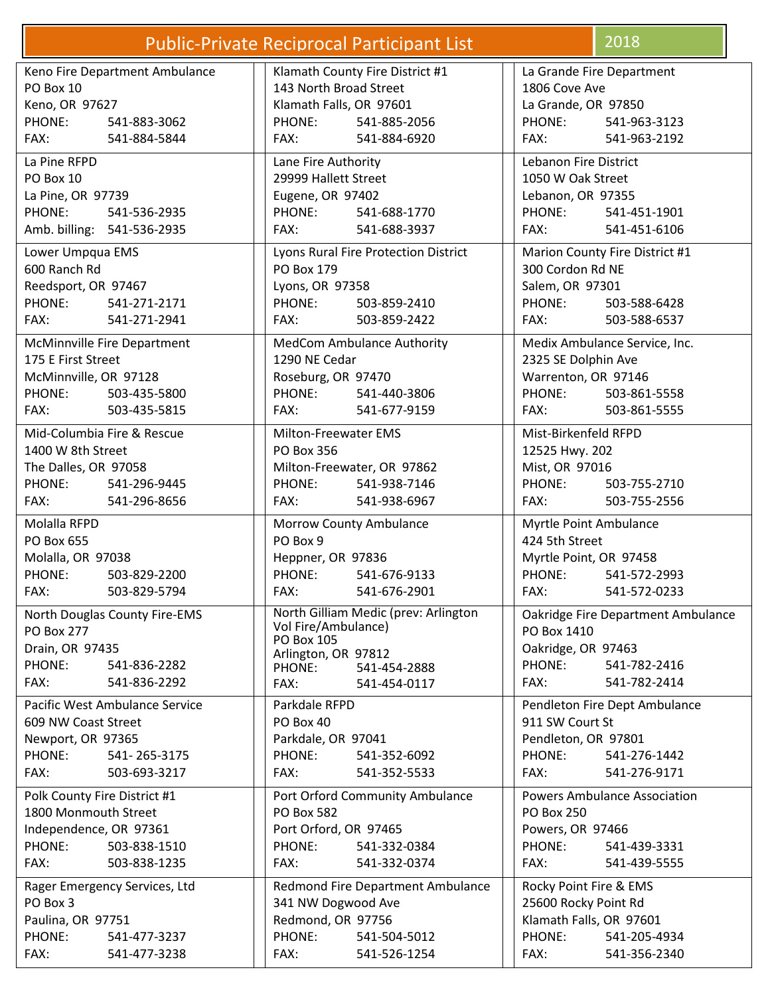|                                                                                                                  | <b>Public-Private Reciprocal Participant List</b>                                                                                                         | 2018                                                                                                                                                                                                                           |
|------------------------------------------------------------------------------------------------------------------|-----------------------------------------------------------------------------------------------------------------------------------------------------------|--------------------------------------------------------------------------------------------------------------------------------------------------------------------------------------------------------------------------------|
| Keno Fire Department Ambulance                                                                                   | Klamath County Fire District #1                                                                                                                           | La Grande Fire Department                                                                                                                                                                                                      |
| PO Box 10                                                                                                        | 143 North Broad Street                                                                                                                                    | 1806 Cove Ave                                                                                                                                                                                                                  |
| Keno, OR 97627                                                                                                   | Klamath Falls, OR 97601                                                                                                                                   | La Grande, OR 97850                                                                                                                                                                                                            |
| PHONE:                                                                                                           | PHONE:                                                                                                                                                    | PHONE:                                                                                                                                                                                                                         |
| 541-883-3062                                                                                                     | 541-885-2056                                                                                                                                              | 541-963-3123                                                                                                                                                                                                                   |
| FAX:                                                                                                             | FAX:                                                                                                                                                      | FAX:                                                                                                                                                                                                                           |
| 541-884-5844                                                                                                     | 541-884-6920                                                                                                                                              | 541-963-2192                                                                                                                                                                                                                   |
| La Pine RFPD<br>PO Box 10<br>La Pine, OR 97739<br>PHONE:<br>541-536-2935<br>Amb. billing: 541-536-2935           | Lane Fire Authority<br>29999 Hallett Street<br>Eugene, OR 97402<br>PHONE:<br>541-688-1770<br>FAX:<br>541-688-3937                                         | <b>Lebanon Fire District</b><br>1050 W Oak Street<br>Lebanon, OR 97355<br>PHONE:<br>541-451-1901<br>FAX:<br>541-451-6106                                                                                                       |
| Lower Umpqua EMS                                                                                                 | Lyons Rural Fire Protection District                                                                                                                      | Marion County Fire District #1                                                                                                                                                                                                 |
| 600 Ranch Rd                                                                                                     | PO Box 179                                                                                                                                                | 300 Cordon Rd NE                                                                                                                                                                                                               |
| Reedsport, OR 97467                                                                                              | Lyons, OR 97358                                                                                                                                           | Salem, OR 97301                                                                                                                                                                                                                |
| PHONE:                                                                                                           | PHONE:                                                                                                                                                    | PHONE:                                                                                                                                                                                                                         |
| 541-271-2171                                                                                                     | 503-859-2410                                                                                                                                              | 503-588-6428                                                                                                                                                                                                                   |
| FAX:                                                                                                             | FAX:                                                                                                                                                      | FAX:                                                                                                                                                                                                                           |
| 541-271-2941                                                                                                     | 503-859-2422                                                                                                                                              | 503-588-6537                                                                                                                                                                                                                   |
| McMinnville Fire Department                                                                                      | MedCom Ambulance Authority                                                                                                                                | Medix Ambulance Service, Inc.                                                                                                                                                                                                  |
| 175 E First Street                                                                                               | 1290 NE Cedar                                                                                                                                             | 2325 SE Dolphin Ave                                                                                                                                                                                                            |
| McMinnville, OR 97128                                                                                            | Roseburg, OR 97470                                                                                                                                        | Warrenton, OR 97146                                                                                                                                                                                                            |
| PHONE:                                                                                                           | PHONE:                                                                                                                                                    | PHONE:                                                                                                                                                                                                                         |
| 503-435-5800                                                                                                     | 541-440-3806                                                                                                                                              | 503-861-5558                                                                                                                                                                                                                   |
| FAX:                                                                                                             | FAX:                                                                                                                                                      | FAX:                                                                                                                                                                                                                           |
| 503-435-5815                                                                                                     | 541-677-9159                                                                                                                                              | 503-861-5555                                                                                                                                                                                                                   |
| Mid-Columbia Fire & Rescue                                                                                       | <b>Milton-Freewater EMS</b>                                                                                                                               | Mist-Birkenfeld RFPD                                                                                                                                                                                                           |
| 1400 W 8th Street                                                                                                | PO Box 356                                                                                                                                                | 12525 Hwy. 202                                                                                                                                                                                                                 |
| The Dalles, OR 97058                                                                                             | Milton-Freewater, OR 97862                                                                                                                                | Mist, OR 97016                                                                                                                                                                                                                 |
| PHONE:                                                                                                           | PHONE:                                                                                                                                                    | PHONE:                                                                                                                                                                                                                         |
| 541-296-9445                                                                                                     | 541-938-7146                                                                                                                                              | 503-755-2710                                                                                                                                                                                                                   |
| FAX:                                                                                                             | FAX:                                                                                                                                                      | FAX:                                                                                                                                                                                                                           |
| 541-296-8656                                                                                                     | 541-938-6967                                                                                                                                              | 503-755-2556                                                                                                                                                                                                                   |
| Molalla RFPD                                                                                                     | <b>Morrow County Ambulance</b>                                                                                                                            | Myrtle Point Ambulance                                                                                                                                                                                                         |
| PO Box 655                                                                                                       | PO Box 9                                                                                                                                                  | 424 5th Street                                                                                                                                                                                                                 |
| Molalla, OR 97038                                                                                                | Heppner, OR 97836                                                                                                                                         | Myrtle Point, OR 97458                                                                                                                                                                                                         |
| PHONE:                                                                                                           | PHONE:                                                                                                                                                    | PHONE:                                                                                                                                                                                                                         |
| 503-829-2200                                                                                                     | 541-676-9133                                                                                                                                              | 541-572-2993                                                                                                                                                                                                                   |
| FAX:                                                                                                             | FAX:                                                                                                                                                      | FAX: The contract of the contract of the contract of the contract of the contract of the contract of the contract of the contract of the contract of the contract of the contract of the contract of the contract of the contr |
| 503-829-5794                                                                                                     | 541-676-2901                                                                                                                                              | 541-572-0233                                                                                                                                                                                                                   |
| North Douglas County Fire-EMS<br>PO Box 277<br>Drain, OR 97435<br>PHONE:<br>541-836-2282<br>FAX:<br>541-836-2292 | North Gilliam Medic (prev: Arlington<br>Vol Fire/Ambulance)<br><b>PO Box 105</b><br>Arlington, OR 97812<br>PHONE:<br>541-454-2888<br>FAX:<br>541-454-0117 | Oakridge Fire Department Ambulance<br>PO Box 1410<br>Oakridge, OR 97463<br>PHONE:<br>541-782-2416<br>FAX:<br>541-782-2414                                                                                                      |
| Pacific West Ambulance Service                                                                                   | Parkdale RFPD                                                                                                                                             | Pendleton Fire Dept Ambulance                                                                                                                                                                                                  |
| 609 NW Coast Street                                                                                              | PO Box 40                                                                                                                                                 | 911 SW Court St                                                                                                                                                                                                                |
| Newport, OR 97365                                                                                                | Parkdale, OR 97041                                                                                                                                        | Pendleton, OR 97801                                                                                                                                                                                                            |
| PHONE:                                                                                                           | PHONE:                                                                                                                                                    | PHONE:                                                                                                                                                                                                                         |
| 541-265-3175                                                                                                     | 541-352-6092                                                                                                                                              | 541-276-1442                                                                                                                                                                                                                   |
| FAX:                                                                                                             | FAX:                                                                                                                                                      | FAX:                                                                                                                                                                                                                           |
| 503-693-3217                                                                                                     | 541-352-5533                                                                                                                                              | 541-276-9171                                                                                                                                                                                                                   |
| Polk County Fire District #1                                                                                     | Port Orford Community Ambulance                                                                                                                           | <b>Powers Ambulance Association</b>                                                                                                                                                                                            |
| 1800 Monmouth Street                                                                                             | <b>PO Box 582</b>                                                                                                                                         | <b>PO Box 250</b>                                                                                                                                                                                                              |
| Independence, OR 97361                                                                                           | Port Orford, OR 97465                                                                                                                                     | Powers, OR 97466                                                                                                                                                                                                               |
| PHONE:                                                                                                           | PHONE:                                                                                                                                                    | PHONE:                                                                                                                                                                                                                         |
| 503-838-1510                                                                                                     | 541-332-0384                                                                                                                                              | 541-439-3331                                                                                                                                                                                                                   |
| FAX:                                                                                                             | FAX:                                                                                                                                                      | FAX:                                                                                                                                                                                                                           |
| 503-838-1235                                                                                                     | 541-332-0374                                                                                                                                              | 541-439-5555                                                                                                                                                                                                                   |
| Rager Emergency Services, Ltd                                                                                    | Redmond Fire Department Ambulance                                                                                                                         | Rocky Point Fire & EMS                                                                                                                                                                                                         |
| PO Box 3                                                                                                         | 341 NW Dogwood Ave                                                                                                                                        | 25600 Rocky Point Rd                                                                                                                                                                                                           |
| Paulina, OR 97751                                                                                                | Redmond, OR 97756                                                                                                                                         | Klamath Falls, OR 97601                                                                                                                                                                                                        |
| PHONE:                                                                                                           | PHONE:                                                                                                                                                    | PHONE:                                                                                                                                                                                                                         |
| 541-477-3237                                                                                                     | 541-504-5012                                                                                                                                              | 541-205-4934                                                                                                                                                                                                                   |
| FAX:                                                                                                             | FAX:                                                                                                                                                      | FAX:                                                                                                                                                                                                                           |
| 541-477-3238                                                                                                     | 541-526-1254                                                                                                                                              | 541-356-2340                                                                                                                                                                                                                   |